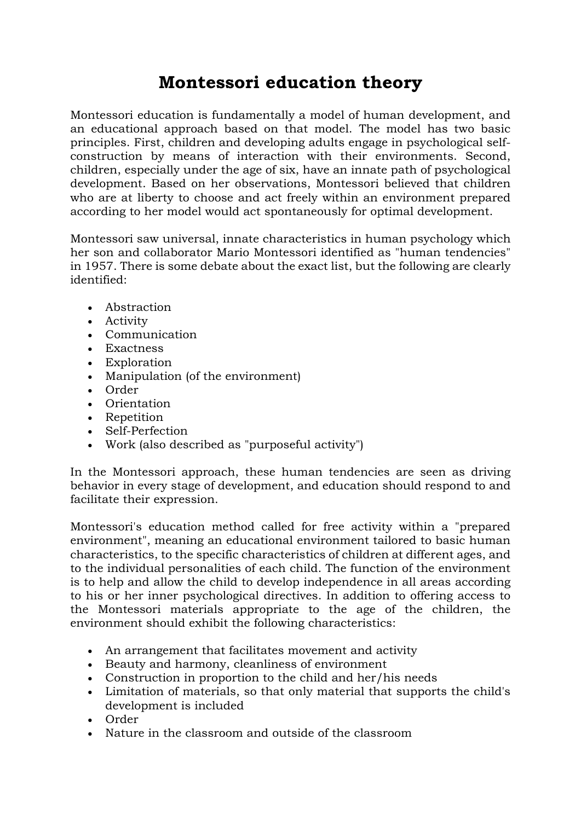## **Montessori education theory**

Montessori education is fundamentally a model of [human development,](https://en.wikipedia.org/wiki/Developmental_psychology) and an educational approach based on that model. The model has two basic principles. First, children and developing adults engage in psychological selfconstruction by means of interaction with their environments. Second, children, especially under the age of six, have an innate path of psychological development. Based on her observations, Montessori believed that children who are at liberty to choose and act freely within an environment prepared according to her model would act spontaneously for optimal development.

Montessori saw universal, innate characteristics in human psychology which her son and collaborator Mario Montessori identified as "human tendencies" in 1957. There is some debate about the exact list, but the following are clearly identified:

- [Abstraction](https://en.wikipedia.org/wiki/Abstraction#Abstraction_in_psychology)
- Activity
- Communication
- Exactness
- Exploration
- Manipulation (of the environment)
- Order
- Orientation
- Repetition
- Self-Perfection
- Work (also described as "purposeful activity")

In the Montessori approach, these human tendencies are seen as driving behavior in every stage of development, and education should respond to and facilitate their expression.

Montessori's education method called for free activity within a "prepared environment", meaning an educational environment tailored to basic human characteristics, to the specific characteristics of children at different ages, and to the individual personalities of each child. The function of the environment is to help and allow the child to develop independence in all areas according to his or her inner psychological directives. In addition to offering access to the Montessori materials appropriate to the age of the children, the environment should exhibit the following characteristics:

- An arrangement that facilitates movement and activity
- Beauty and harmony, cleanliness of environment
- Construction in proportion to the child and her/his needs
- Limitation of materials, so that only material that supports the child's development is included
- Order
- Nature in the classroom and outside of the classroom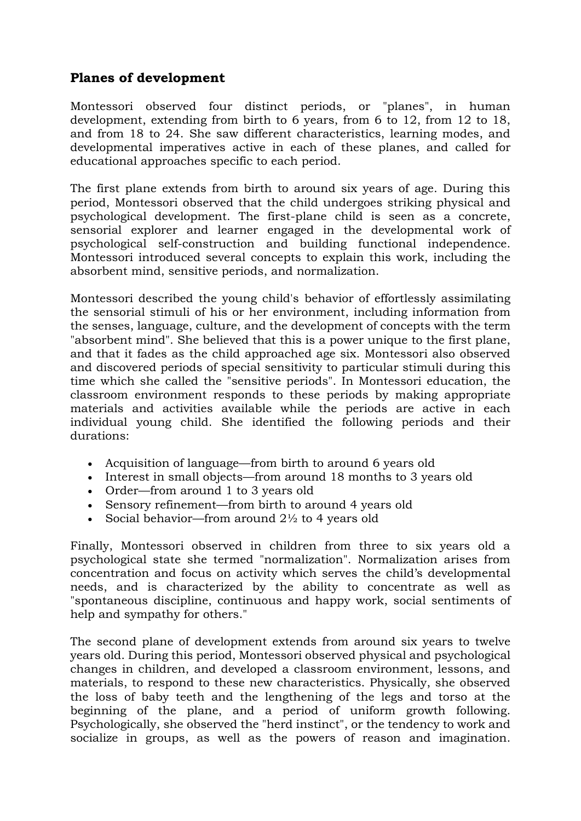## **Planes of development**

[Montessori](https://en.wikipedia.org/wiki/Montessori) observed four distinct periods, or "planes", in human development, extending from birth to 6 years, from 6 to 12, from 12 to 18, and from 18 to 24. She saw different characteristics, learning modes, and developmental imperatives active in each of these planes, and called for educational approaches specific to each period.

The first plane extends from birth to around six years of age. During this period, Montessori observed that the child undergoes striking physical and psychological development. The first-plane child is seen as a concrete, sensorial explorer and learner engaged in the developmental work of psychological self-construction and building functional independence. Montessori introduced several concepts to explain this work, including the absorbent mind, sensitive periods, and normalization.

Montessori described the young child's behavior of effortlessly assimilating the sensorial stimuli of his or her environment, including information from the senses, language, culture, and the development of concepts with the term "absorbent mind". She believed that this is a power unique to the first plane, and that it fades as the child approached age six. Montessori also observed and discovered periods of special sensitivity to particular stimuli during this time which she called the "sensitive periods". In Montessori education, the classroom environment responds to these periods by making appropriate materials and activities available while the periods are active in each individual young child. She identified the following periods and their durations:

- Acquisition of language—from birth to around 6 years old
- Interest in small objects—from around 18 months to 3 years old
- Order—from around 1 to 3 years old
- Sensory refinement—from birth to around 4 years old
- Social behavior—from around  $2\frac{1}{2}$  to 4 years old

Finally, Montessori observed in children from three to six years old a psychological state she termed "normalization". Normalization arises from concentration and focus on activity which serves the child's developmental needs, and is characterized by the ability to concentrate as well as "spontaneous discipline, continuous and happy work, social sentiments of help and sympathy for others."

The second plane of development extends from around six years to twelve years old. During this period, Montessori observed physical and psychological changes in children, and developed a classroom environment, lessons, and materials, to respond to these new characteristics. Physically, she observed the loss of baby teeth and the lengthening of the legs and torso at the beginning of the plane, and a period of uniform growth following. Psychologically, she observed the "herd instinct", or the tendency to work and socialize in groups, as well as the powers of reason and imagination.